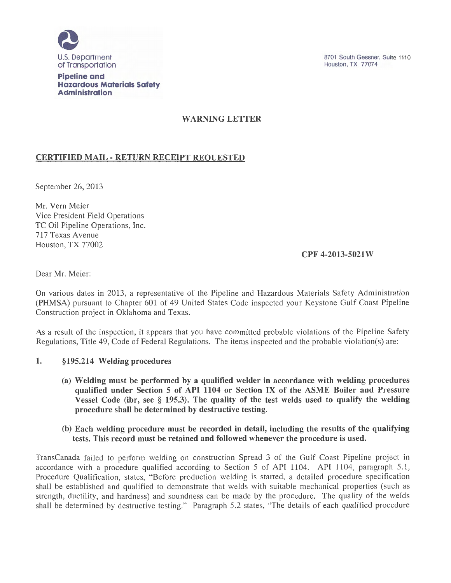

#### **Pipeline and Hazardous Materials Safety Administration**

# WARNING LETTER

# CERTIFIED MAIL- RETURN RECEIPT REQUESTED

September 26, 2013

Mr. Vern Meier Vice President Field Operations TC Oil Pipeline Operations, Inc. 717 Texas Avenue Houston, TX 77002

## CPF 4-2013-5021 W

Dear Mr. Meier:

On various dates in 2013, a representative of the Pipeline and Hazardous Materials Safety Administration (PHMSA) pursuant to Chapter 601 of 49 United States Code inspected your Keystone Gulf Coast Pipeline Construction project in Oklahoma and Texas.

As a result of the inspection, it appears that you have committed probable violations of the Pipeline Safety Regulations, Title 49, Code of Federal Regulations. The items inspected and the probable violation(s) are:

## 1. §195.214 Welding procedures

(a) Welding must be performed by a qualified welder in accordance with welding procedures qualified under Section 5 of API 1104 or Section IX of the ASME Boiler and Pressure Vessel Code (ibr, see § 195.3). The quality of the test welds used to qualify the welding procedure shall be determined by destructive testing.

### (b) Each welding procedure must be recorded in detail, including the results of the qualifying tests. This record must be retained and followed whenever the procedure is used.

TransCanada failed to perform welding on construction Spread 3 of the Gulf Coast Pipeline project in accordance with a procedure qualified according to Section 5 of API 1104. API 1104, paragraph 5.1, Procedure Qualification, states, "Before production welding is started, a detailed procedure specification shall be established and qualified to demonstrate that welds with suitable mechanical properties (such as strength, ductility, and hardness) and soundness can be made by the procedure. The quality of the welds shall be determined by destructive testing." Paragraph 5.2 states, "The details of each qualified procedure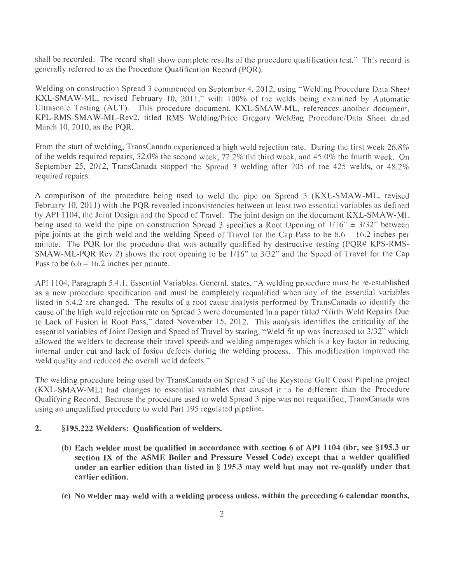shall be recorded. The record shall show complete results of the procedure qualification test." This record is generally referred to as the Procedure Qualification Record (PQR).

Welding on construction Spread 3 commenced on September 4, 2012, using "Welding Procedure Data Sheet KXL-SMAW-ML, revised February 10, 2011," with 100% of the welds being examined by Automatic Ultrasonic Testing (AUT). This procedure document, KXL-SMAW-ML, references another document, KPL-RMS-SMAW-ML-Rev2, titled RMS Welding/Price Gregory Welding Procedure/Data Sheet dated March 10, 2010, as the PQR.

From the start of welding, TransCanada experienced a high weld rejection rate. During the first week 26.8% of the welds required repairs, 32.0% the second week, 72.2% the third week, and 45.0% the fourth week. On September 25, 2012, TransCanada stopped the Spread 3 welding after 205 of the 425 welds, or 48.2% required repairs.

A comparison of the procedure being used to weld the pipe on Spread 3 (KXL-SMAW-ML, revised February 10, 2011) with the PQR revealed inconsistencies between at least two essential variables as defined by API 1104, the Joint Design and the Speed of Travel. The joint design on the document KXL-SMAW-ML being used to weld the pipe on construction Spread 3 specifies a Root Opening of  $1/16$ "  $\pm$  3/32" between pipe joints at the girth weld and the welding Speed of Travel for the Cap Pass to be 8.6 - 16.2 inches per minute. The PQR for the procedure that was actually qualified by destructive testing (PQR# KPS-RMS-SMAW-ML-PQR Rev 2) shows the root opening to be 1/16" to 3/32" and the Speed of Travel for the Cap Pass to be  $6.6 - 16.2$  inches per minute.

API 1104, Paragraph 5.4.1, Essential Variables, General, states, "A welding procedure must be re-established as a new procedure specification and must be completely requalified when any of the essential variables listed in 5.4.2 are changed. The results of a root cause analysis performed by TransCanada to identify the cause of the high weld rejection rate on Spread 3 were documented in a paper titled "Girth Weld Repairs Due to Lack of Fusion in Root Pass," dated November 15, 2012. This analysis identifies the criticality of the essential variables of Joint Design and Speed of Travel by stating, "Weld fit up was increased to 3/32" which allowed the welders to decrease their travel speeds and welding amperages which is a key factor in reducing internal under cut and lack of fusion defects during the welding process. This modification improved the weld quality and reduced the overall weld defects."

The welding procedure being used by TransCanada on Spread 3 of the Keystone Gulf Coast Pipeline project (KXL-SMAW-ML) had changes to essential variables that caused it to be different than the Procedure Qualifying Record. Because the procedure used to weld Spread 3 pipe was not requalified, TransCanada was using an unqualified procedure to weld Part 195 regulated pipeline.

#### 2. §195.222 Welders: Qualification of welders.

- (b) Each welder must be qualified in accordance with section 6 of API 1104 (ibr, see §195.3 or section IX of the ASME Boiler and Pressure Vessel Code) except that a welder qualified under an earlier edition than listed in  $\S$  195.3 may weld but may not re-qualify under that earlier edition.
- (c) No welder may weld with a welding process unless, within the preceding 6 calendar months,